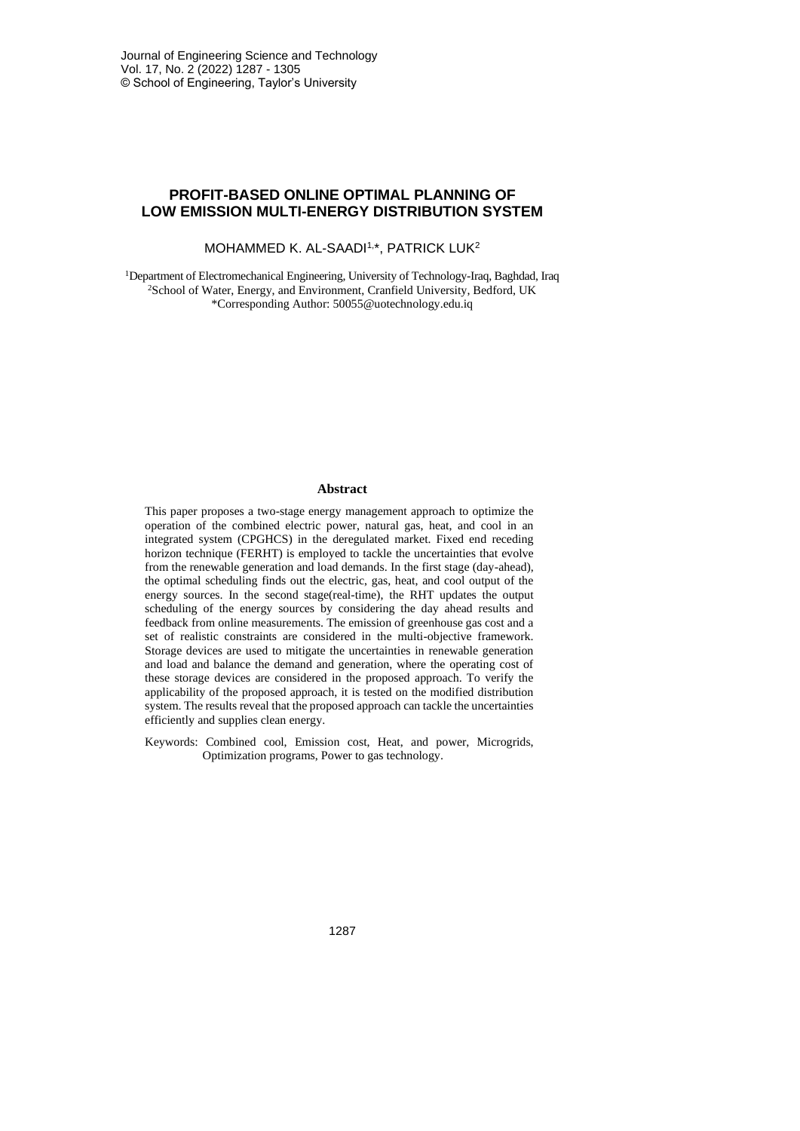# **PROFIT-BASED ONLINE OPTIMAL PLANNING OF LOW EMISSION MULTI-ENERGY DISTRIBUTION SYSTEM**

## MOHAMMED K. AL-SAADI<sup>1,\*</sup>, PATRICK LUK<sup>2</sup>

<sup>1</sup>Department of Electromechanical Engineering, University of Technology-Iraq, Baghdad, Iraq <sup>2</sup>School of Water, Energy, and Environment, Cranfield University, Bedford, UK \*Corresponding Author: 50055@uotechnology.edu.iq

#### **Abstract**

This paper proposes a two-stage energy management approach to optimize the operation of the combined electric power, natural gas, heat, and cool in an integrated system (CPGHCS) in the deregulated market. Fixed end receding horizon technique (FERHT) is employed to tackle the uncertainties that evolve from the renewable generation and load demands. In the first stage (day-ahead), the optimal scheduling finds out the electric, gas, heat, and cool output of the energy sources. In the second stage(real-time), the RHT updates the output scheduling of the energy sources by considering the day ahead results and feedback from online measurements. The emission of greenhouse gas cost and a set of realistic constraints are considered in the multi-objective framework. Storage devices are used to mitigate the uncertainties in renewable generation and load and balance the demand and generation, where the operating cost of these storage devices are considered in the proposed approach. To verify the applicability of the proposed approach, it is tested on the modified distribution system. The results reveal that the proposed approach can tackle the uncertainties efficiently and supplies clean energy.

Keywords: Combined cool, Emission cost, Heat, and power, Microgrids, Optimization programs, Power to gas technology.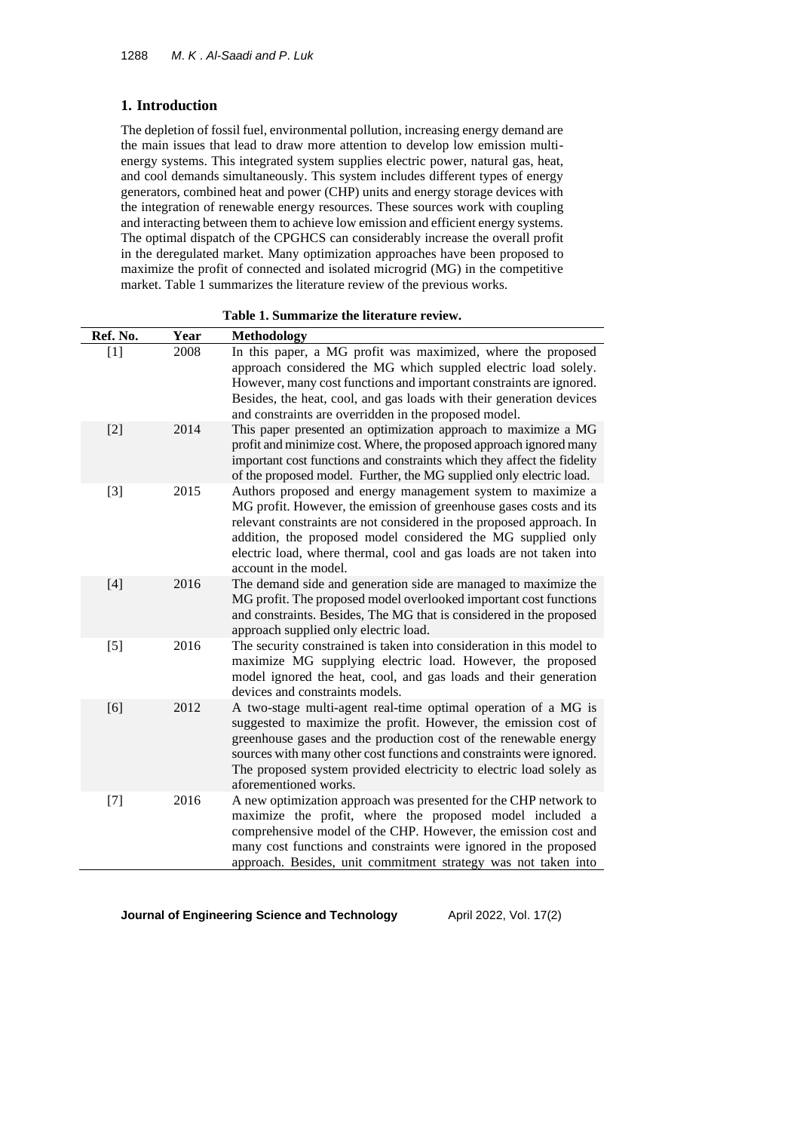# **1. Introduction**

The depletion of fossil fuel, environmental pollution, increasing energy demand are the main issues that lead to draw more attention to develop low emission multienergy systems. This integrated system supplies electric power, natural gas, heat, and cool demands simultaneously. This system includes different types of energy generators, combined heat and power (CHP) units and energy storage devices with the integration of renewable energy resources. These sources work with coupling and interacting between them to achieve low emission and efficient energy systems. The optimal dispatch of the CPGHCS can considerably increase the overall profit in the deregulated market. Many optimization approaches have been proposed to maximize the profit of connected and isolated microgrid (MG) in the competitive market. Table 1 summarizes the literature review of the previous works.

**Table 1. Summarize the literature review.**

| Ref. No. | Year | <b>Methodology</b>                                                                                                                                                                                                                                                                                                                                                            |
|----------|------|-------------------------------------------------------------------------------------------------------------------------------------------------------------------------------------------------------------------------------------------------------------------------------------------------------------------------------------------------------------------------------|
| $[1]$    | 2008 | In this paper, a MG profit was maximized, where the proposed<br>approach considered the MG which suppled electric load solely.<br>However, many cost functions and important constraints are ignored.<br>Besides, the heat, cool, and gas loads with their generation devices<br>and constraints are overridden in the proposed model.                                        |
| $[2]$    | 2014 | This paper presented an optimization approach to maximize a MG<br>profit and minimize cost. Where, the proposed approach ignored many<br>important cost functions and constraints which they affect the fidelity<br>of the proposed model. Further, the MG supplied only electric load.                                                                                       |
| $[3]$    | 2015 | Authors proposed and energy management system to maximize a<br>MG profit. However, the emission of greenhouse gases costs and its<br>relevant constraints are not considered in the proposed approach. In<br>addition, the proposed model considered the MG supplied only<br>electric load, where thermal, cool and gas loads are not taken into<br>account in the model.     |
| $[4]$    | 2016 | The demand side and generation side are managed to maximize the<br>MG profit. The proposed model overlooked important cost functions<br>and constraints. Besides, The MG that is considered in the proposed<br>approach supplied only electric load.                                                                                                                          |
| $[5]$    | 2016 | The security constrained is taken into consideration in this model to<br>maximize MG supplying electric load. However, the proposed<br>model ignored the heat, cool, and gas loads and their generation<br>devices and constraints models.                                                                                                                                    |
| [6]      | 2012 | A two-stage multi-agent real-time optimal operation of a MG is<br>suggested to maximize the profit. However, the emission cost of<br>greenhouse gases and the production cost of the renewable energy<br>sources with many other cost functions and constraints were ignored.<br>The proposed system provided electricity to electric load solely as<br>aforementioned works. |
| $[7]$    | 2016 | A new optimization approach was presented for the CHP network to<br>maximize the profit, where the proposed model included a<br>comprehensive model of the CHP. However, the emission cost and<br>many cost functions and constraints were ignored in the proposed<br>approach. Besides, unit commitment strategy was not taken into                                          |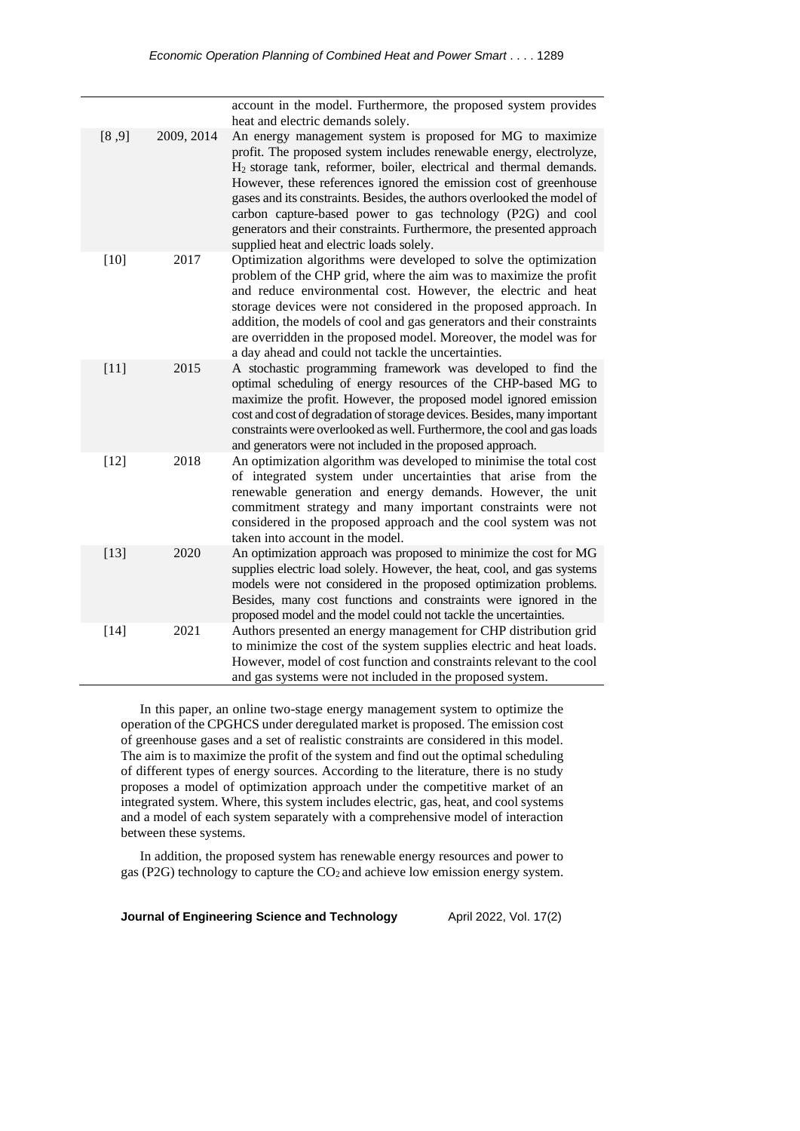|        |            | account in the model. Furthermore, the proposed system provides<br>heat and electric demands solely.                                                                                                                                                                                                                                                                                                                                                                                                                                                    |
|--------|------------|---------------------------------------------------------------------------------------------------------------------------------------------------------------------------------------------------------------------------------------------------------------------------------------------------------------------------------------------------------------------------------------------------------------------------------------------------------------------------------------------------------------------------------------------------------|
| [8, 9] | 2009, 2014 | An energy management system is proposed for MG to maximize<br>profit. The proposed system includes renewable energy, electrolyze,<br>H <sub>2</sub> storage tank, reformer, boiler, electrical and thermal demands.<br>However, these references ignored the emission cost of greenhouse<br>gases and its constraints. Besides, the authors overlooked the model of<br>carbon capture-based power to gas technology (P2G) and cool<br>generators and their constraints. Furthermore, the presented approach<br>supplied heat and electric loads solely. |
| $[10]$ | 2017       | Optimization algorithms were developed to solve the optimization<br>problem of the CHP grid, where the aim was to maximize the profit<br>and reduce environmental cost. However, the electric and heat<br>storage devices were not considered in the proposed approach. In<br>addition, the models of cool and gas generators and their constraints<br>are overridden in the proposed model. Moreover, the model was for<br>a day ahead and could not tackle the uncertainties.                                                                         |
| $[11]$ | 2015       | A stochastic programming framework was developed to find the<br>optimal scheduling of energy resources of the CHP-based MG to<br>maximize the profit. However, the proposed model ignored emission<br>cost and cost of degradation of storage devices. Besides, many important<br>constraints were overlooked as well. Furthermore, the cool and gas loads<br>and generators were not included in the proposed approach.                                                                                                                                |
| $[12]$ | 2018       | An optimization algorithm was developed to minimise the total cost<br>of integrated system under uncertainties that arise from the<br>renewable generation and energy demands. However, the unit<br>commitment strategy and many important constraints were not<br>considered in the proposed approach and the cool system was not<br>taken into account in the model.                                                                                                                                                                                  |
| $[13]$ | 2020       | An optimization approach was proposed to minimize the cost for MG<br>supplies electric load solely. However, the heat, cool, and gas systems<br>models were not considered in the proposed optimization problems.<br>Besides, many cost functions and constraints were ignored in the<br>proposed model and the model could not tackle the uncertainties.                                                                                                                                                                                               |
| $[14]$ | 2021       | Authors presented an energy management for CHP distribution grid<br>to minimize the cost of the system supplies electric and heat loads.<br>However, model of cost function and constraints relevant to the cool<br>and gas systems were not included in the proposed system.                                                                                                                                                                                                                                                                           |

In this paper, an online two-stage energy management system to optimize the operation of the CPGHCS under deregulated market is proposed. The emission cost of greenhouse gases and a set of realistic constraints are considered in this model. The aim is to maximize the profit of the system and find out the optimal scheduling of different types of energy sources. According to the literature, there is no study proposes a model of optimization approach under the competitive market of an integrated system. Where, this system includes electric, gas, heat, and cool systems and a model of each system separately with a comprehensive model of interaction between these systems.

In addition, the proposed system has renewable energy resources and power to gas (P2G) technology to capture the CO<sub>2</sub> and achieve low emission energy system.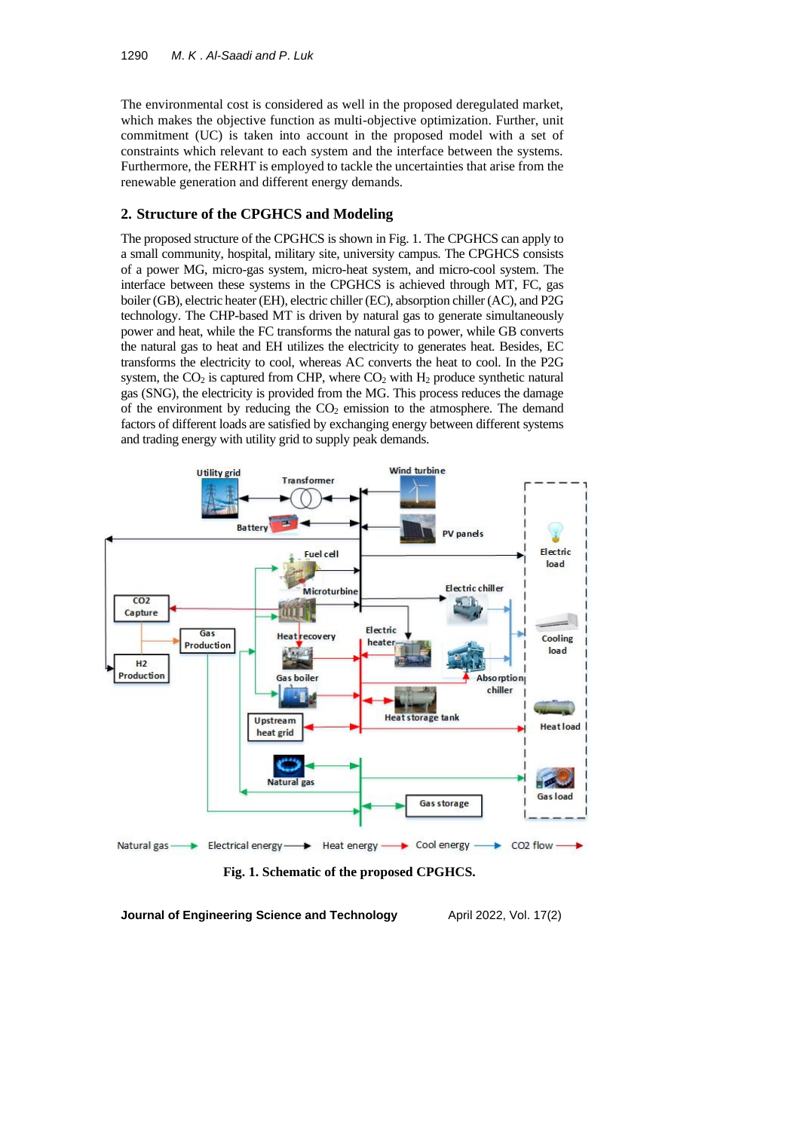The environmental cost is considered as well in the proposed deregulated market, which makes the objective function as multi-objective optimization. Further, unit commitment (UC) is taken into account in the proposed model with a set of constraints which relevant to each system and the interface between the systems. Furthermore, the FERHT is employed to tackle the uncertainties that arise from the renewable generation and different energy demands.

#### **2. Structure of the CPGHCS and Modeling**

The proposed structure of the CPGHCS is shown in Fig. 1. The CPGHCS can apply to a small community, hospital, military site, university campus. The CPGHCS consists of a power MG, micro-gas system, micro-heat system, and micro-cool system. The interface between these systems in the CPGHCS is achieved through MT, FC, gas boiler (GB), electric heater (EH), electric chiller (EC), absorption chiller (AC), and P2G technology. The CHP-based MT is driven by natural gas to generate simultaneously power and heat, while the FC transforms the natural gas to power, while GB converts the natural gas to heat and EH utilizes the electricity to generates heat. Besides, EC transforms the electricity to cool, whereas AC converts the heat to cool. In the P2G system, the  $CO_2$  is captured from CHP, where  $CO_2$  with  $H_2$  produce synthetic natural gas (SNG), the electricity is provided from the MG. This process reduces the damage of the environment by reducing the  $CO<sub>2</sub>$  emission to the atmosphere. The demand factors of different loads are satisfied by exchanging energy between different systems and trading energy with utility grid to supply peak demands.



**Fig. 1. Schematic of the proposed CPGHCS.**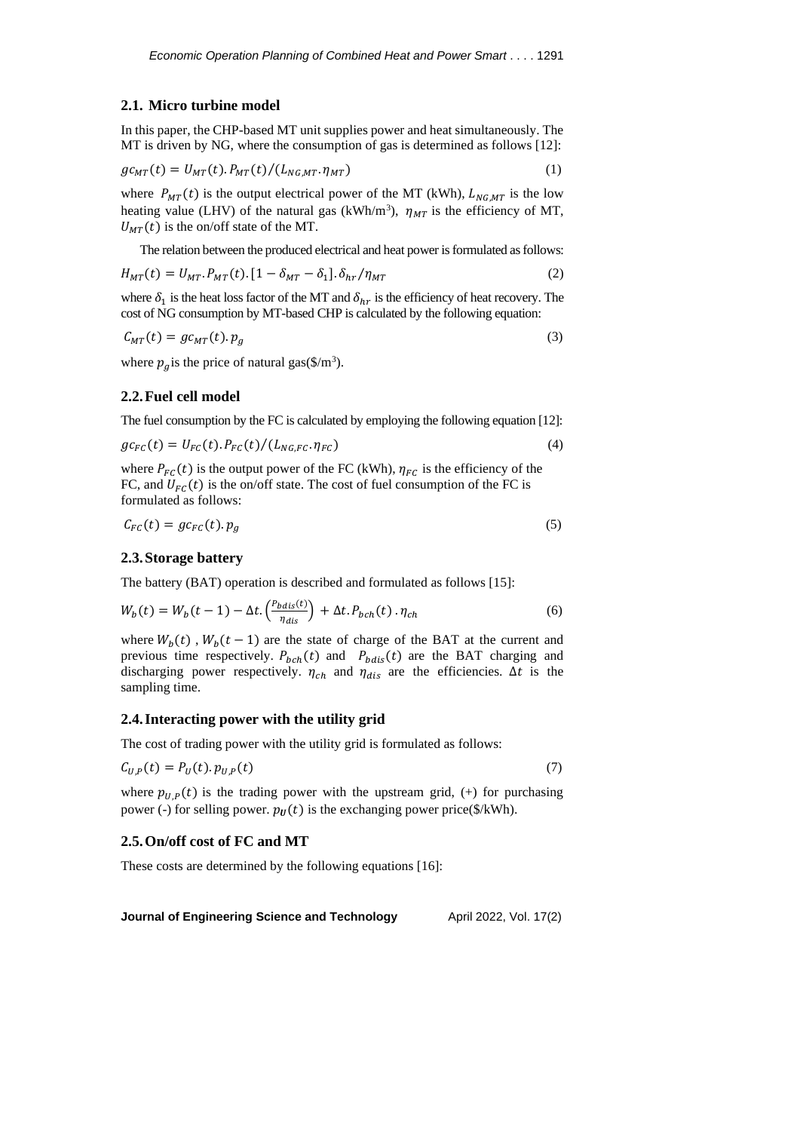#### **2.1. Micro turbine model**

In this paper, the CHP-based MT unit supplies power and heat simultaneously. The MT is driven by NG, where the consumption of gas is determined as follows [12]:

$$
gc_{MT}(t) = U_{MT}(t) \cdot P_{MT}(t) / (L_{NG, MT} \cdot \eta_{MT})
$$
\n(1)

where  $P_{MT}(t)$  is the output electrical power of the MT (kWh),  $L_{NG, MT}$  is the low heating value (LHV) of the natural gas (kWh/m<sup>3</sup>),  $\eta_{MT}$  is the efficiency of MT,  $U_{MT}(t)$  is the on/off state of the MT.

The relation between the produced electrical and heat power is formulated as follows:

$$
H_{MT}(t) = U_{MT}.P_{MT}(t).[1 - \delta_{MT} - \delta_1].\delta_{hr}/\eta_{MT}
$$
\n(2)

where  $\delta_1$  is the heat loss factor of the MT and  $\delta_{hr}$  is the efficiency of heat recovery. The cost of NG consumption by MT-based CHP is calculated by the following equation:

$$
C_{MT}(t) = gc_{MT}(t).p_g
$$
\n(3)

where  $p_g$  is the price of natural gas(\$/m<sup>3</sup>).

#### **2.2.Fuel cell model**

The fuel consumption by the FC is calculated by employing the following equation [12]:

$$
gc_{FC}(t) = U_{FC}(t) \cdot P_{FC}(t) / (L_{NG,FC} \cdot \eta_{FC})
$$
\n
$$
\tag{4}
$$

where  $P_{FC}(t)$  is the output power of the FC (kWh),  $\eta_{FC}$  is the efficiency of the FC, and  $U_{FC}(t)$  is the on/off state. The cost of fuel consumption of the FC is formulated as follows:

$$
C_{FC}(t) = gc_{FC}(t).p_g
$$
\n<sup>(5)</sup>

#### **2.3.Storage battery**

The battery (BAT) operation is described and formulated as follows [15]:

$$
W_b(t) = W_b(t-1) - \Delta t \cdot \left(\frac{P_{bdis}(t)}{\eta_{dis}}\right) + \Delta t \cdot P_{bch}(t) \cdot \eta_{ch}
$$
\n<sup>(6)</sup>

where  $W_b(t)$ ,  $W_b(t-1)$  are the state of charge of the BAT at the current and previous time respectively.  $P_{bch}(t)$  and  $P_{bdis}(t)$  are the BAT charging and discharging power respectively.  $\eta_{ch}$  and  $\eta_{dis}$  are the efficiencies.  $\Delta t$  is the sampling time.

#### **2.4.Interacting power with the utility grid**

The cost of trading power with the utility grid is formulated as follows:

$$
C_{U,P}(t) = P_U(t) \cdot p_{U,P}(t) \tag{7}
$$

where  $p_{U,P}(t)$  is the trading power with the upstream grid, (+) for purchasing power (-) for selling power.  $p_U(t)$  is the exchanging power price(\$/kWh).

### **2.5.On/off cost of FC and MT**

These costs are determined by the following equations [16]: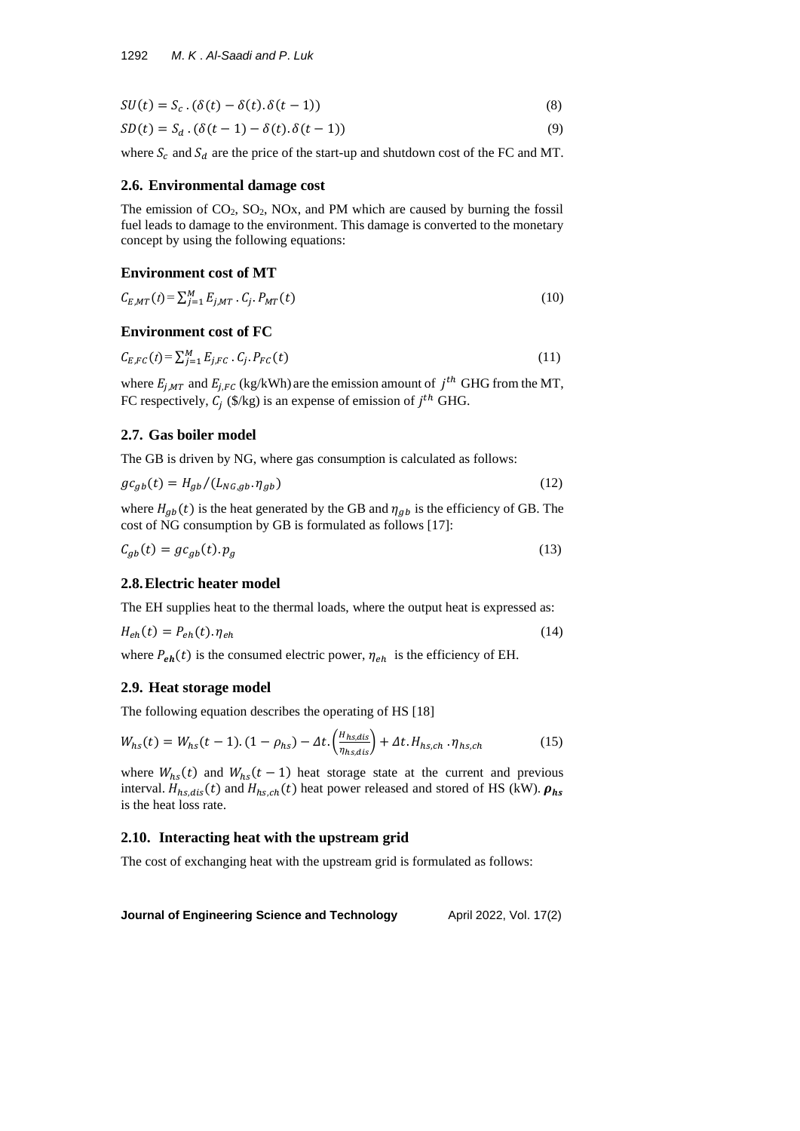$$
SU(t) = S_c \cdot (\delta(t) - \delta(t) \cdot \delta(t-1))
$$
\n(8)

 $SD(t) = S_d \cdot (\delta(t-1) - \delta(t) \cdot \delta(t-1))$  (9)

where  $S_c$  and  $S_d$  are the price of the start-up and shutdown cost of the FC and MT.

## **2.6. Environmental damage cost**

The emission of  $CO<sub>2</sub>$ ,  $SO<sub>2</sub>$ , NOx, and PM which are caused by burning the fossil fuel leads to damage to the environment. This damage is converted to the monetary concept by using the following equations:

## **Environment cost of MT**

$$
C_{E,MT}(t) = \sum_{j=1}^{M} E_{j,MT} \cdot C_j \cdot P_{MT}(t)
$$
\n(10)

# **Environment cost of FC**

$$
C_{E,FC}(t) = \sum_{j=1}^{M} E_{j,FC} \cdot C_j \cdot P_{FC}(t)
$$
\n(11)

where  $E_{j,MT}$  and  $E_{j,FC}$  (kg/kWh) are the emission amount of  $j^{th}$  GHG from the MT, FC respectively,  $C_j$  (\$/kg) is an expense of emission of  $j<sup>th</sup>$  GHG.

# **2.7. Gas boiler model**

The GB is driven by NG, where gas consumption is calculated as follows:

$$
gc_{gb}(t) = H_{gb}/(L_{NG,gb}. \eta_{gb})
$$
\n(12)

where  $H_{gb}(t)$  is the heat generated by the GB and  $\eta_{gb}$  is the efficiency of GB. The cost of NG consumption by GB is formulated as follows [17]:

$$
C_{gb}(t) = gc_{gb}(t).p_g \tag{13}
$$

#### **2.8.Electric heater model**

The EH supplies heat to the thermal loads, where the output heat is expressed as:

$$
H_{eh}(t) = P_{eh}(t) \cdot \eta_{eh} \tag{14}
$$

where  $P_{eh}(t)$  is the consumed electric power,  $\eta_{eh}$  is the efficiency of EH.

## **2.9. Heat storage model**

The following equation describes the operating of HS [18]

$$
W_{hs}(t) = W_{hs}(t-1) \cdot (1 - \rho_{hs}) - \Delta t \cdot \left(\frac{H_{hs,dis}}{\eta_{hs,dis}}\right) + \Delta t \cdot H_{hs,ch} \cdot \eta_{hs,ch} \tag{15}
$$

where  $W_{hs}(t)$  and  $W_{hs}(t-1)$  heat storage state at the current and previous interval.  $H_{hs,dis}(t)$  and  $H_{hs,ch}(t)$  heat power released and stored of HS (kW).  $\rho_{hs}$ is the heat loss rate.

## **2.10. Interacting heat with the upstream grid**

The cost of exchanging heat with the upstream grid is formulated as follows: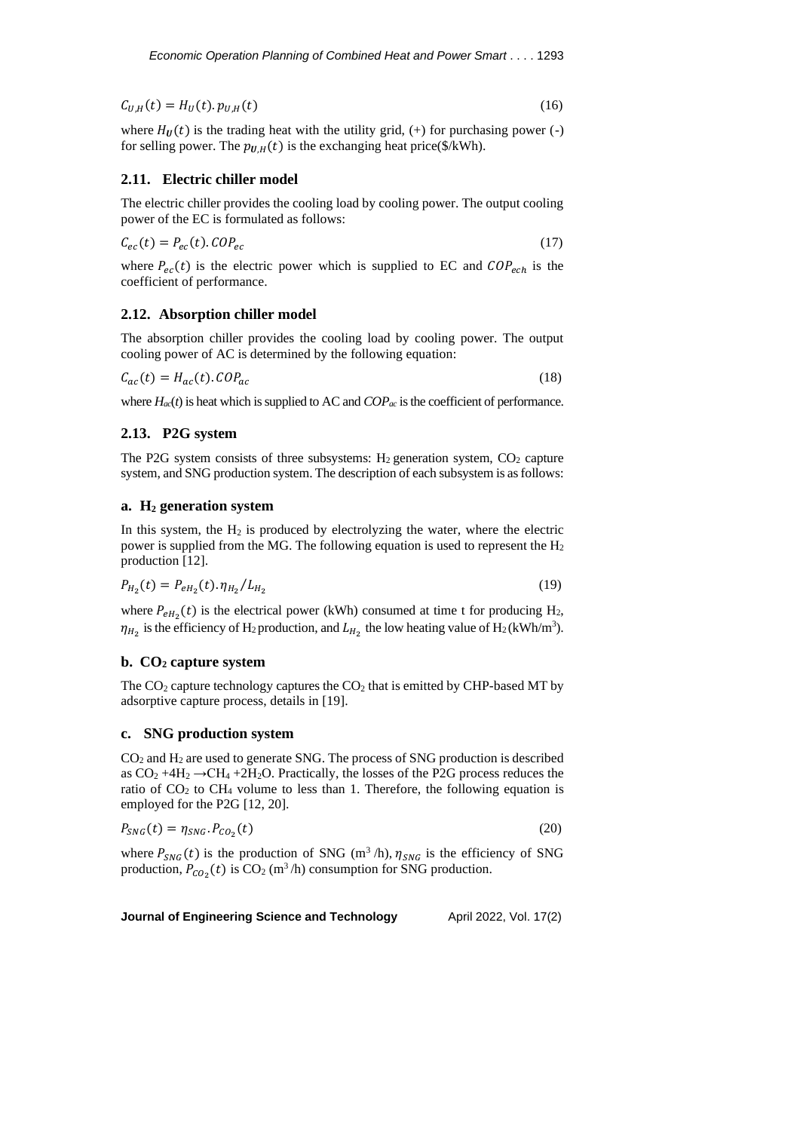$C_{U,H}(t) = H_U(t) \cdot p_{U,H}(t)$  (16)

where  $H_{II}(t)$  is the trading heat with the utility grid, (+) for purchasing power (-) for selling power. The  $p_{U,H}(t)$  is the exchanging heat price(\$/kWh).

#### **2.11. Electric chiller model**

The electric chiller provides the cooling load by cooling power. The output cooling power of the EC is formulated as follows:

$$
C_{ec}(t) = P_{ec}(t).COP_{ec}
$$
\n
$$
(17)
$$

where  $P_{ec}(t)$  is the electric power which is supplied to EC and  $COP_{ech}$  is the coefficient of performance.

## **2.12. Absorption chiller model**

The absorption chiller provides the cooling load by cooling power. The output cooling power of AC is determined by the following equation:

$$
C_{ac}(t) = H_{ac}(t).COP_{ac}
$$
\n<sup>(18)</sup>

where  $H_{ac}(t)$  is heat which is supplied to AC and  $COP_{ac}$  is the coefficient of performance.

#### **2.13. P2G system**

The P2G system consists of three subsystems:  $H_2$  generation system,  $CO_2$  capture system, and SNG production system. The description of each subsystem is as follows:

## **a. H<sup>2</sup> generation system**

In this system, the  $H_2$  is produced by electrolyzing the water, where the electric power is supplied from the MG. The following equation is used to represent the  $H_2$ production [12].

$$
P_{H_2}(t) = P_{eH_2}(t) \cdot \eta_{H_2} / L_{H_2}
$$
\n(19)

where  $P_{eH_2}(t)$  is the electrical power (kWh) consumed at time t for producing H<sub>2</sub>,  $\eta_{H_2}$  is the efficiency of H<sub>2</sub> production, and  $L_{H_2}$  the low heating value of H<sub>2</sub> (kWh/m<sup>3</sup>).

#### **b. CO<sup>2</sup> capture system**

The  $CO<sub>2</sub>$  capture technology captures the  $CO<sub>2</sub>$  that is emitted by CHP-based MT by adsorptive capture process, details in [19].

### **c. SNG production system**

 $CO<sub>2</sub>$  and  $H<sub>2</sub>$  are used to generate SNG. The process of SNG production is described as  $CO_2 + 4H_2 \rightarrow CH_4 + 2H_2O$ . Practically, the losses of the P2G process reduces the ratio of  $CO<sub>2</sub>$  to  $CH<sub>4</sub>$  volume to less than 1. Therefore, the following equation is employed for the P2G [12, 20].

$$
P_{SNG}(t) = \eta_{SNG}. P_{CO_2}(t)
$$
\n(20)

where  $P_{SNG}(t)$  is the production of SNG (m<sup>3</sup>/h),  $\eta_{SNG}$  is the efficiency of SNG production,  $P_{CO_2}(t)$  is  $CO_2$  (m<sup>3</sup>/h) consumption for SNG production.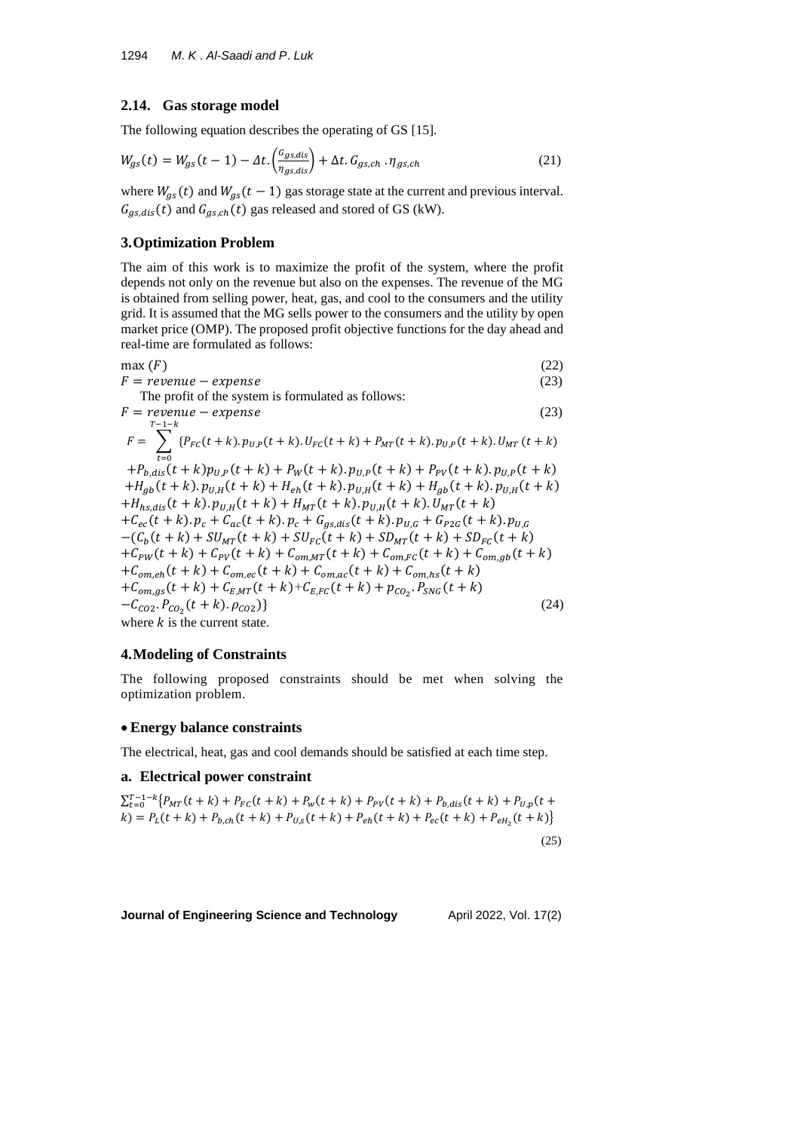#### **2.14. Gas storage model**

The following equation describes the operating of GS [15].

$$
W_{gs}(t) = W_{gs}(t-1) - \Delta t \cdot \left(\frac{c_{gs,dis}}{\eta_{gs,dis}}\right) + \Delta t \cdot G_{gs,ch} \cdot \eta_{gs,ch}
$$
\n(21)

where  $W_{gs}(t)$  and  $W_{gs}(t - 1)$  gas storage state at the current and previous interval.  $G_{gs,dis}(t)$  and  $G_{gs,ch}(t)$  gas released and stored of GS (kW).

#### **3.Optimization Problem**

The aim of this work is to maximize the profit of the system, where the profit depends not only on the revenue but also on the expenses. The revenue of the MG is obtained from selling power, heat, gas, and cool to the consumers and the utility grid. It is assumed that the MG sells power to the consumers and the utility by open market price (OMP). The proposed profit objective functions for the day ahead and real-time are formulated as follows:

 $max(F)$  (22)  $F =$  revenue – expense (23)

The profit of the system is formulated as follows:  
\n
$$
F = revenue - expense
$$
\n(23)

$$
F = \sum_{t=0}^{T-1-k} \{P_{FC}(t+k).p_{U,P}(t+k).U_{FC}(t+k)+P_{MT}(t+k).p_{U,P}(t+k).U_{MT}(t+k)\}\
$$

 $+P_{b,dis}(t+k)p_{U,P}(t+k)+P_W(t+k).p_{U,P}(t+k)+P_{PV}(t+k).p_{U,P}(t+k)$  $+H_{gb}(t + k). p_{U,H}(t + k) + H_{eh}(t + k). p_{U,H}(t + k) + H_{gb}(t + k). p_{U,H}(t + k)$  $+H_{hs,dis}(t + k). p_{U,H}(t + k) + H_{MT}(t + k). p_{U,H}(t + k).U_{MT}(t + k)$  $+C_{ec}(t+k)$ .  $p_c + C_{ac}(t+k)$ .  $p_c + G_{gs,dis}(t+k)$ .  $p_{U,G} + G_{P2G}(t+k)$ .  $p_{U,G}$  $-(C_b(t+k) + SU_{MT}(t+k) + SU_{FC}(t+k) + SD_{MT}(t+k) + SD_{FC}(t+k))$ + $C_{PW}(t + k)$  +  $C_{PV}(t + k)$  +  $C_{om,MT}(t + k)$  +  $C_{om,FC}(t + k)$  +  $C_{om,gb}(t + k)$  $+C_{om,eh}(t+k)+C_{om,ec}(t+k)+C_{om,ac}(t+k)+C_{om,hs}(t+k)$  $+C_{om,gs}(t + k) + C_{E,MT}(t + k) + C_{E,FC}(t + k) + p_{CO_2}$ ,  $P_{SNG}(t + k)$  $-C_{CO2} \cdot P_{CO_2}(t+k) \cdot \rho_{CO2})$  (24) where  $k$  is the current state.

#### **4.Modeling of Constraints**

The following proposed constraints should be met when solving the optimization problem.

#### • **Energy balance constraints**

The electrical, heat, gas and cool demands should be satisfied at each time step.

## **a. Electrical power constraint**

$$
\sum_{t=0}^{T-1-k} \{ P_{MT}(t+k) + P_{FC}(t+k) + P_{W}(t+k) + P_{PV}(t+k) + P_{b,dis}(t+k) + P_{U,p}(t+k) + P_{b,ch}(t+k) + P_{U,s}(t+k) + P_{eh}(t+k) + P_{e,c}(t+k) + P_{eH_2}(t+k) \}
$$
\n(25)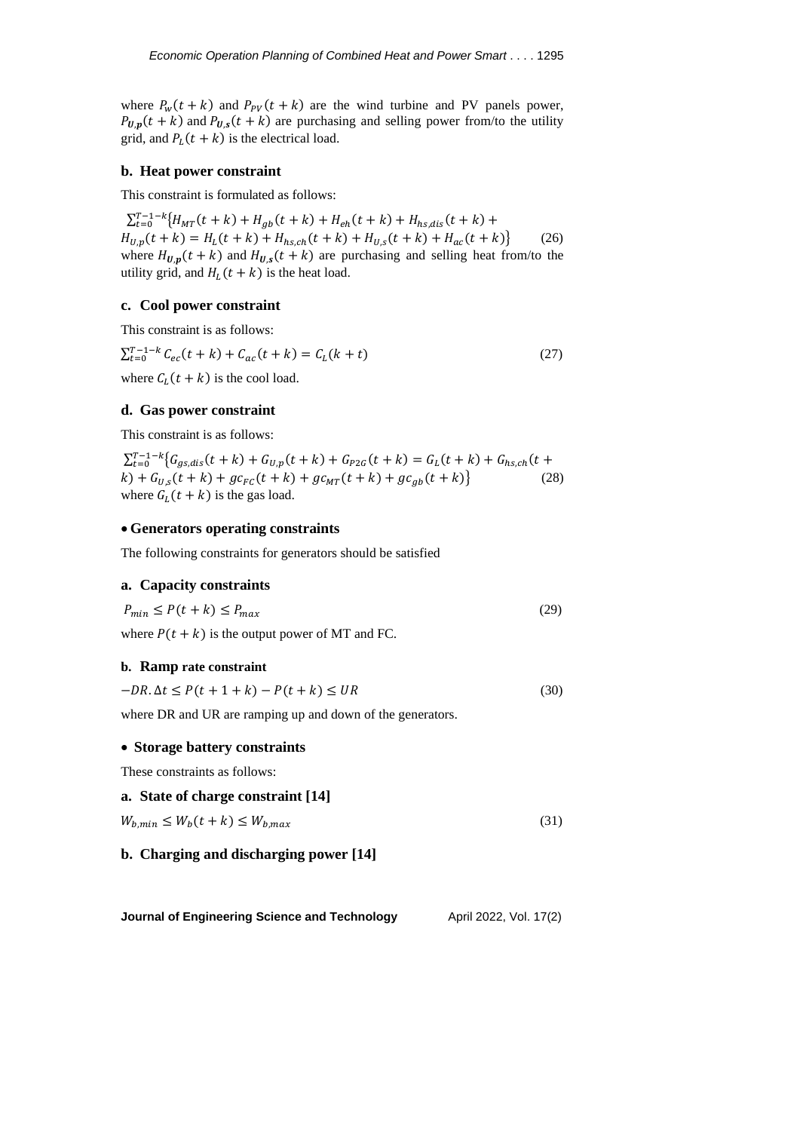where  $P_w(t + k)$  and  $P_{PV}(t + k)$  are the wind turbine and PV panels power,  $P_{U,p}(t + k)$  and  $P_{U,s}(t + k)$  are purchasing and selling power from/to the utility grid, and  $P_L(t + k)$  is the electrical load.

#### **b. Heat power constraint**

This constraint is formulated as follows:

 $\sum_{t=0}^{T-1-k} \{H_{MT}(t+k) + H_{gb}(t+k) + H_{eh}(t+k) + H_{hs,dis}(t+k) + H_{hs,dis}(t+k) \}$  $H_{U,p}(t+k) = H_L(t+k) + H_{hs,ch}(t+k) + H_{U,s}(t+k) + H_{ac}(t+k)$  (26) where  $H_{U,p}(t + k)$  and  $H_{U,s}(t + k)$  are purchasing and selling heat from/to the utility grid, and  $H_L(t + k)$  is the heat load.

## **c. Cool power constraint**

This constraint is as follows:

$$
\sum_{t=0}^{T-1-k} C_{ec}(t+k) + C_{ac}(t+k) = C_L(k+t)
$$
\n(27)

where  $C_L(t + k)$  is the cool load.

#### **d. Gas power constraint**

This constraint is as follows:

 $\sum_{t=0}^{T-1-k} \{ G_{gs,dis}(t+k) + G_{U,p}(t+k) + G_{P2G}(t+k) = G_L(t+k) + G_{hs,ch}(t+k) \}$  $(k) + G_{U,s}(t + k) + g c_{FC}(t + k) + g c_{MT}(t + k) + g c_{gb}(t + k)$  (28) where  $G_L(t + k)$  is the gas load.

#### • **Generators operating constraints**

The following constraints for generators should be satisfied

#### **a. Capacity constraints**

$$
P_{min} \le P(t+k) \le P_{max} \tag{29}
$$

where  $P(t + k)$  is the output power of MT and FC.

#### **b. Ramp rate constraint**

 $-DR \Delta t \le P(t + 1 + k) - P(t + k) \le UR$  (30)

where DR and UR are ramping up and down of the generators.

#### • **Storage battery constraints**

These constraints as follows:

### **a. State of charge constraint [14]**

 $W_{b,min} \le W_b(t+k) \le W_{b,max}$  (31)

## **b. Charging and discharging power [14]**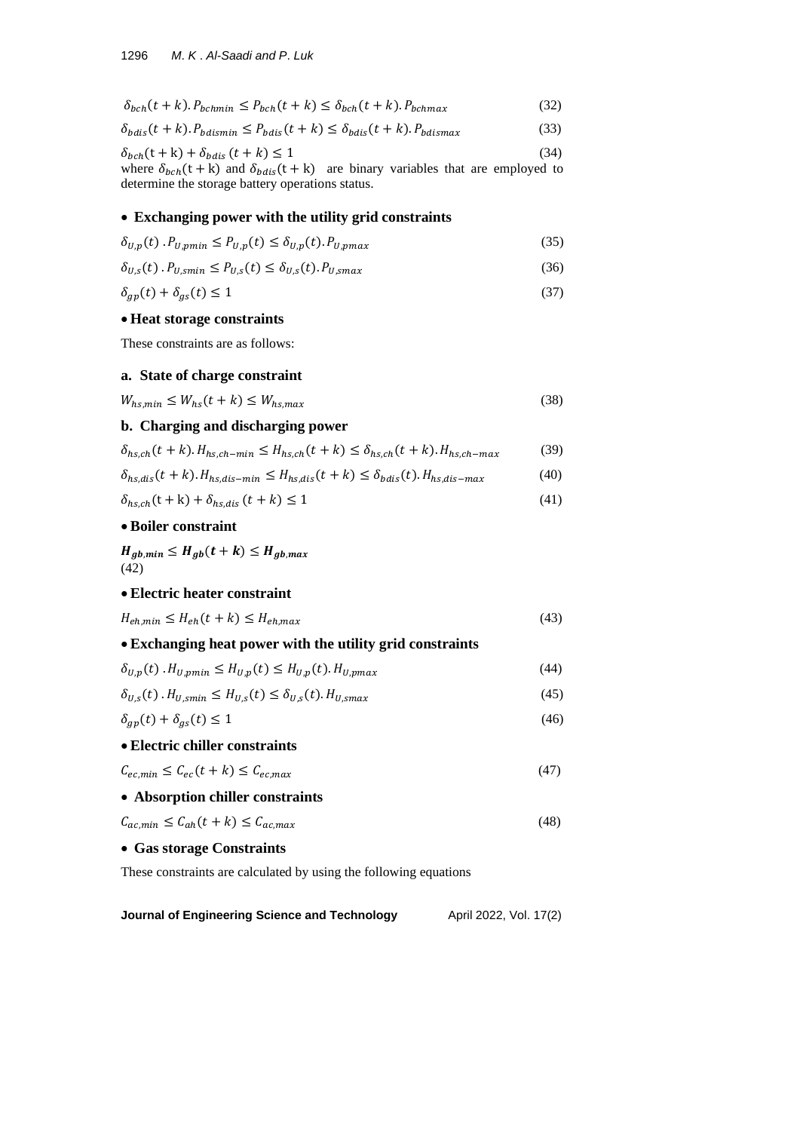$$
\delta_{bch}(t+k). P_{bchmin} \le P_{bch}(t+k) \le \delta_{bch}(t+k). P_{bchmax}
$$
\n(32)

 $\delta_{bdis}(t + k) \cdot P_{bdismin} \le P_{bdis}(t + k) \le \delta_{bdis}(t + k) \cdot P_{bdismax}$  (33)

$$
\delta_{bch}(t+k) + \delta_{bdis}(t+k) \le 1\tag{34}
$$

where  $\delta_{bch}(t + k)$  and  $\delta_{bdis}(t + k)$  are binary variables that are employed to determine the storage battery operations status.

## • **Exchanging power with the utility grid constraints**

$$
\delta_{U,p}(t) P_{U,pmin} \le P_{U,p}(t) \le \delta_{U,p}(t) P_{U,pmax} \tag{35}
$$

$$
\delta_{U,s}(t) \cdot P_{U, smin} \le P_{U,s}(t) \le \delta_{U,s}(t) \cdot P_{U, smax} \tag{36}
$$

$$
\delta_{gp}(t) + \delta_{gs}(t) \le 1\tag{37}
$$

## • **Heat storage constraints**

These constraints are as follows:

## **a. State of charge constraint**

$$
W_{hs,min} \le W_{hs}(t+k) \le W_{hs,max} \tag{38}
$$

# **b. Charging and discharging power**

$$
\delta_{hs,ch}(t+k).H_{hs,ch-min} \le H_{hs,ch}(t+k) \le \delta_{hs,ch}(t+k).H_{hs,ch-max} \tag{39}
$$

$$
\delta_{hs,dis}(t+k).H_{hs,dis-min} \le H_{hs,dis}(t+k) \le \delta_{bdis}(t).H_{hs,dis-max} \tag{40}
$$

$$
\delta_{hs,ch}(t+k) + \delta_{hs,dis}(t+k) \le 1\tag{41}
$$

# • **Boiler constraint**

 $H_{gb,min} \leq H_{gb}(t+k) \leq H_{gb,max}$ (42)

# • **Electric heater constraint**

| $H_{eh,min} \leq H_{eh}(t+k) \leq H_{eh,max}$ |  |
|-----------------------------------------------|--|
|-----------------------------------------------|--|

| • Exchanging heat power with the utility grid constraints                            |      |
|--------------------------------------------------------------------------------------|------|
| $\delta_{U,p}(t)$ . $H_{U,pmin} \leq H_{U,p}(t) \leq H_{U,p}(t)$ . $H_{U,pmax}$      | (44) |
| $\delta_{U,s}(t)$ . $H_{U,smin} \leq H_{U,s}(t) \leq \delta_{U,s}(t)$ . $H_{U,smax}$ | (45) |

$$
\delta_{gp}(t) + \delta_{gs}(t) \le 1\tag{46}
$$

## • **Electric chiller constraints**

$$
C_{ec,min} \le C_{ec}(t+k) \le C_{ec,max} \tag{47}
$$

• **Absorption chiller constraints**

```
C_{ac,min} \le C_{ah}(t+k) \le C_{ac,max} (48)
```
## • **Gas storage Constraints**

These constraints are calculated by using the following equations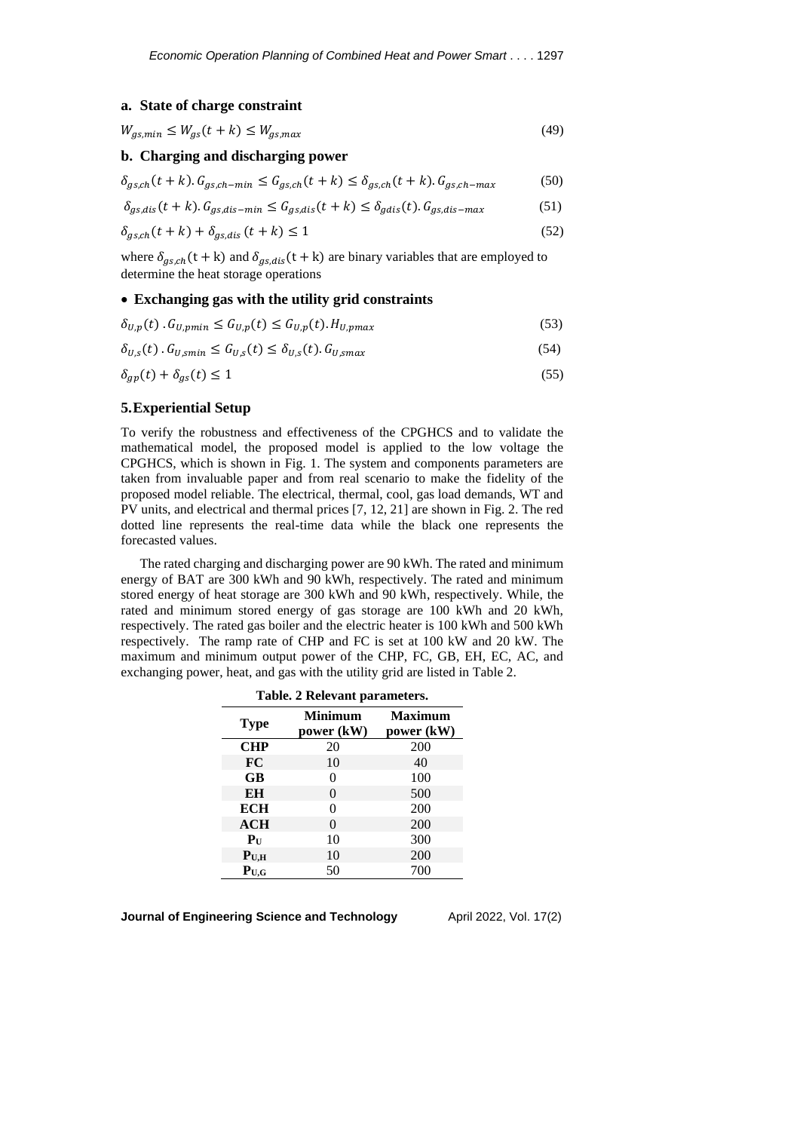## **a. State of charge constraint**

$$
W_{gs,min} \le W_{gs}(t+k) \le W_{gs,max} \tag{49}
$$

## **b. Charging and discharging power**

 $\delta_{gs, ch}(t + k)$ .  $G_{gs, ch-min} \leq G_{gs, ch}(t + k) \leq \delta_{gs, ch}(t + k)$ .  $G_{gs, ch-max}$  (50)

$$
\delta_{gs,dis}(t+k). G_{gs,dis-min} \le G_{gs,dis}(t+k) \le \delta_{gdis}(t). G_{gs,dis-max} \tag{51}
$$

$$
\delta_{gs,ch}(t+k) + \delta_{gs,dis}(t+k) \le 1\tag{52}
$$

where  $\delta_{gs,ch}(t + k)$  and  $\delta_{gs,dis}(t + k)$  are binary variables that are employed to determine the heat storage operations

#### • **Exchanging gas with the utility grid constraints**

$$
\delta_{U,p}(t) \cdot G_{U,pmin} \le G_{U,p}(t) \le G_{U,p}(t) \cdot H_{U,pmax} \tag{53}
$$

$$
\delta_{U,s}(t) \cdot G_{U, smin} \le G_{U,s}(t) \le \delta_{U,s}(t) \cdot G_{U, smax} \tag{54}
$$

$$
\delta_{gp}(t) + \delta_{gs}(t) \le 1\tag{55}
$$

# **5.Experiential Setup**

To verify the robustness and effectiveness of the CPGHCS and to validate the mathematical model, the proposed model is applied to the low voltage the CPGHCS, which is shown in Fig. 1. The system and components parameters are taken from invaluable paper and from real scenario to make the fidelity of the proposed model reliable. The electrical, thermal, cool, gas load demands, WT and PV units, and electrical and thermal prices [7, 12, 21] are shown in Fig. 2. The red dotted line represents the real-time data while the black one represents the forecasted values.

The rated charging and discharging power are 90 kWh. The rated and minimum energy of BAT are 300 kWh and 90 kWh, respectively. The rated and minimum stored energy of heat storage are 300 kWh and 90 kWh, respectively. While, the rated and minimum stored energy of gas storage are 100 kWh and 20 kWh, respectively. The rated gas boiler and the electric heater is 100 kWh and 500 kWh respectively. The ramp rate of CHP and FC is set at 100 kW and 20 kW. The maximum and minimum output power of the CHP, FC, GB, EH, EC, AC, and exchanging power, heat, and gas with the utility grid are listed in Table 2.

| $1400x$ , $2100x$ , $400y$ , $800y$ |                              |                              |
|-------------------------------------|------------------------------|------------------------------|
| <b>Type</b>                         | <b>Minimum</b><br>power (kW) | <b>Maximum</b><br>power (kW) |
| <b>CHP</b>                          | 20                           | 200                          |
| <b>FC</b>                           | 10                           | 40                           |
| GB                                  | 0                            | 100                          |
| EH                                  | $\theta$                     | 500                          |
| <b>ECH</b>                          | 0                            | 200                          |
| ACH                                 | $\Omega$                     | 200                          |
| $P_{\mathrm{U}}$                    | 10                           | 300                          |
| $P_{U,H}$                           | 10                           | 200                          |
| $P_{U,G}$                           | 50                           | 700                          |

**Table. 2 Relevant parameters.**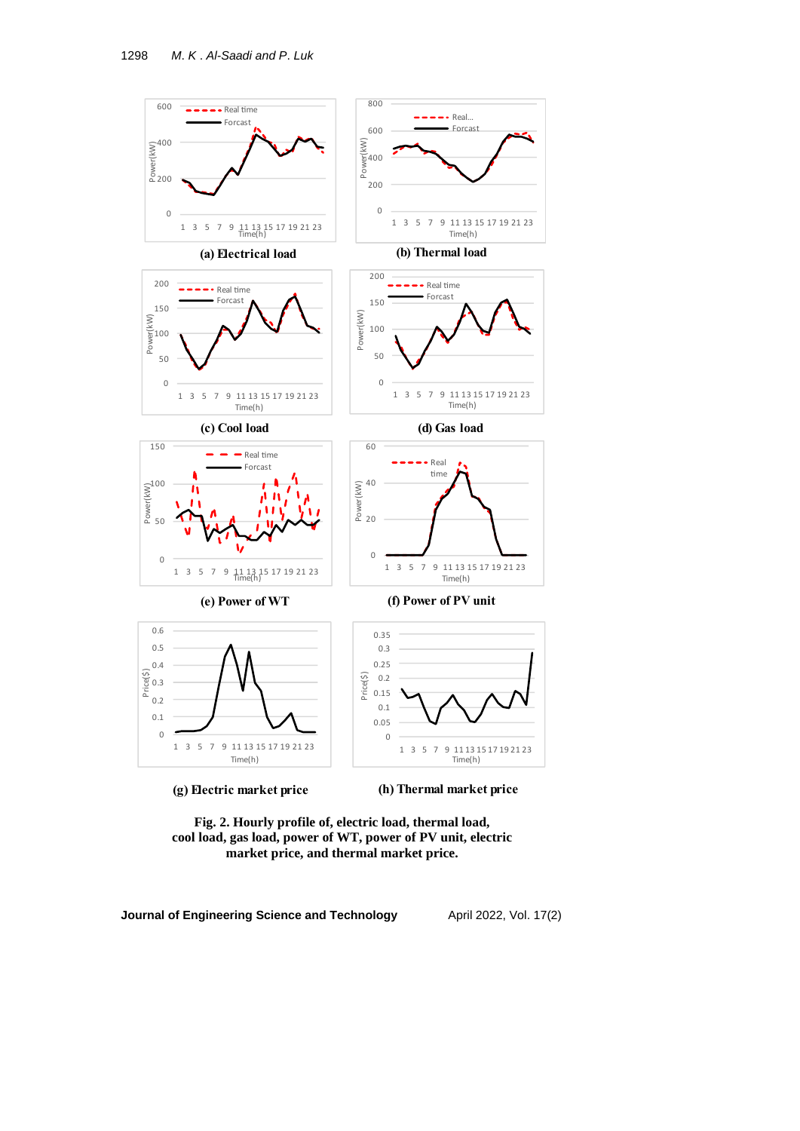

(g) Electric market price

(h) Thermal market price

**Fig. 2. Hourly profile of, electric load, thermal load, cool load, gas load, power of WT, power of PV unit, electric market price, and thermal market price.**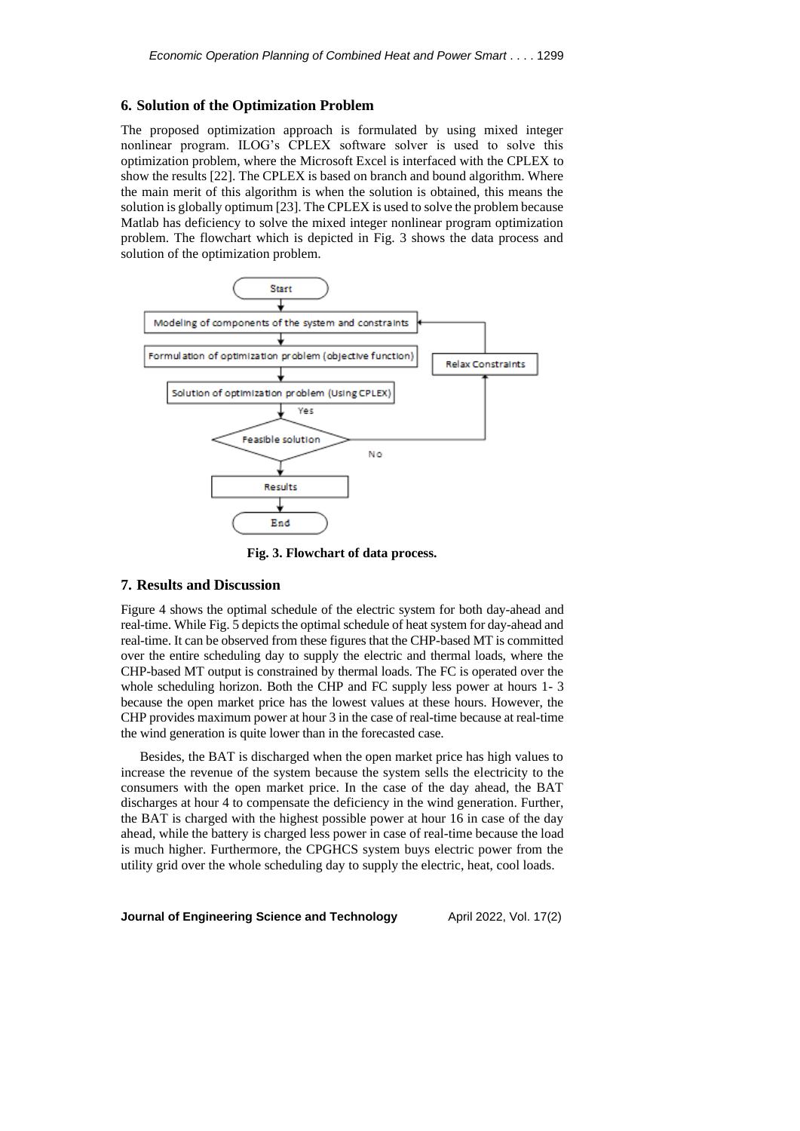#### **6. Solution of the Optimization Problem**

The proposed optimization approach is formulated by using mixed integer nonlinear program. ILOG's CPLEX software solver is used to solve this optimization problem, where the Microsoft Excel is interfaced with the CPLEX to show the results [22]. The CPLEX is based on branch and bound algorithm. Where the main merit of this algorithm is when the solution is obtained, this means the solution is globally optimum [23]. The CPLEX is used to solve the problem because Matlab has deficiency to solve the mixed integer nonlinear program optimization problem. The flowchart which is depicted in Fig. 3 shows the data process and solution of the optimization problem.



**Fig. 3. Flowchart of data process.**

# **7. Results and Discussion**

Figure 4 shows the optimal schedule of the electric system for both day-ahead and real-time. While Fig. 5 depicts the optimal schedule of heat system for day-ahead and real-time. It can be observed from these figures that the CHP-based MT is committed over the entire scheduling day to supply the electric and thermal loads, where the CHP-based MT output is constrained by thermal loads. The FC is operated over the whole scheduling horizon. Both the CHP and FC supply less power at hours 1- 3 because the open market price has the lowest values at these hours. However, the CHP provides maximum power at hour 3 in the case of real-time because at real-time the wind generation is quite lower than in the forecasted case.

Besides, the BAT is discharged when the open market price has high values to increase the revenue of the system because the system sells the electricity to the consumers with the open market price. In the case of the day ahead, the BAT discharges at hour 4 to compensate the deficiency in the wind generation. Further, the BAT is charged with the highest possible power at hour 16 in case of the day ahead, while the battery is charged less power in case of real-time because the load is much higher. Furthermore, the CPGHCS system buys electric power from the utility grid over the whole scheduling day to supply the electric, heat, cool loads.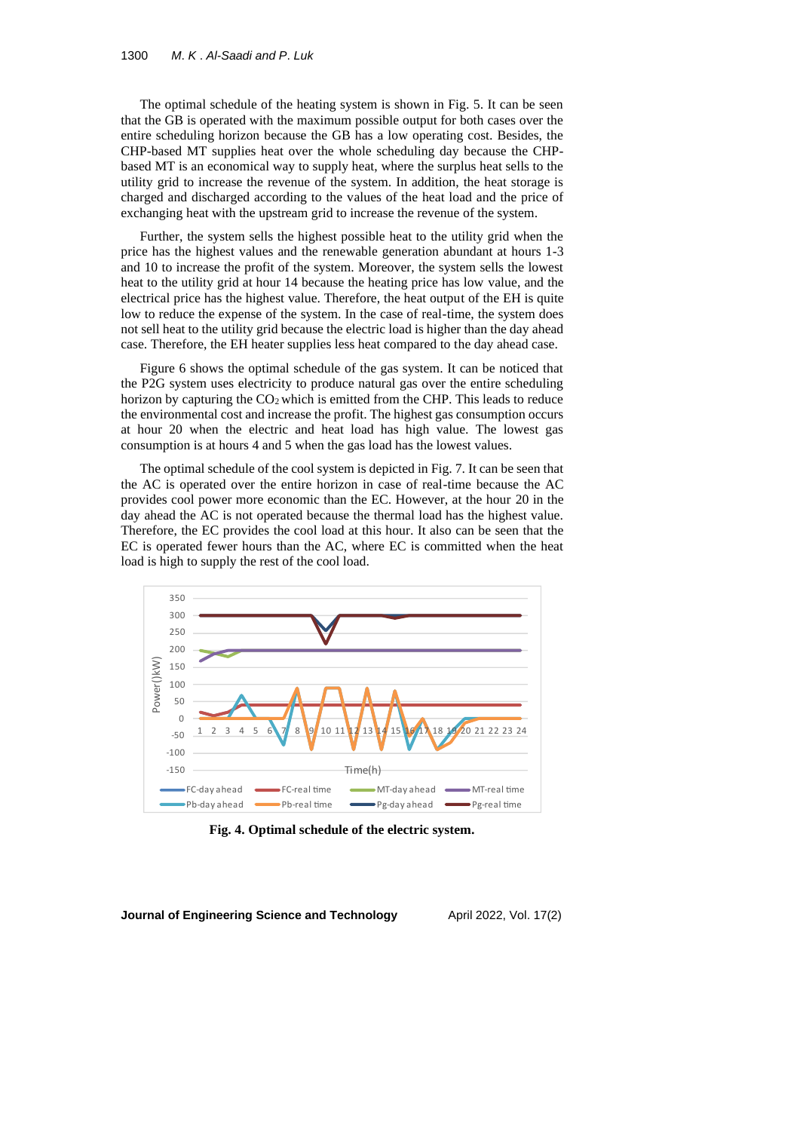The optimal schedule of the heating system is shown in Fig. 5. It can be seen that the GB is operated with the maximum possible output for both cases over the entire scheduling horizon because the GB has a low operating cost. Besides, the CHP-based MT supplies heat over the whole scheduling day because the CHPbased MT is an economical way to supply heat, where the surplus heat sells to the utility grid to increase the revenue of the system. In addition, the heat storage is charged and discharged according to the values of the heat load and the price of exchanging heat with the upstream grid to increase the revenue of the system.

Further, the system sells the highest possible heat to the utility grid when the price has the highest values and the renewable generation abundant at hours 1-3 and 10 to increase the profit of the system. Moreover, the system sells the lowest heat to the utility grid at hour 14 because the heating price has low value, and the electrical price has the highest value. Therefore, the heat output of the EH is quite low to reduce the expense of the system. In the case of real-time, the system does not sell heat to the utility grid because the electric load is higher than the day ahead case. Therefore, the EH heater supplies less heat compared to the day ahead case.

Figure 6 shows the optimal schedule of the gas system. It can be noticed that the P2G system uses electricity to produce natural gas over the entire scheduling horizon by capturing the  $CO<sub>2</sub>$  which is emitted from the CHP. This leads to reduce the environmental cost and increase the profit. The highest gas consumption occurs at hour 20 when the electric and heat load has high value. The lowest gas consumption is at hours 4 and 5 when the gas load has the lowest values.

The optimal schedule of the cool system is depicted in Fig. 7. It can be seen that the AC is operated over the entire horizon in case of real-time because the AC provides cool power more economic than the EC. However, at the hour 20 in the day ahead the AC is not operated because the thermal load has the highest value. Therefore, the EC provides the cool load at this hour. It also can be seen that the EC is operated fewer hours than the AC, where EC is committed when the heat load is high to supply the rest of the cool load.



**Fig. 4. Optimal schedule of the electric system.**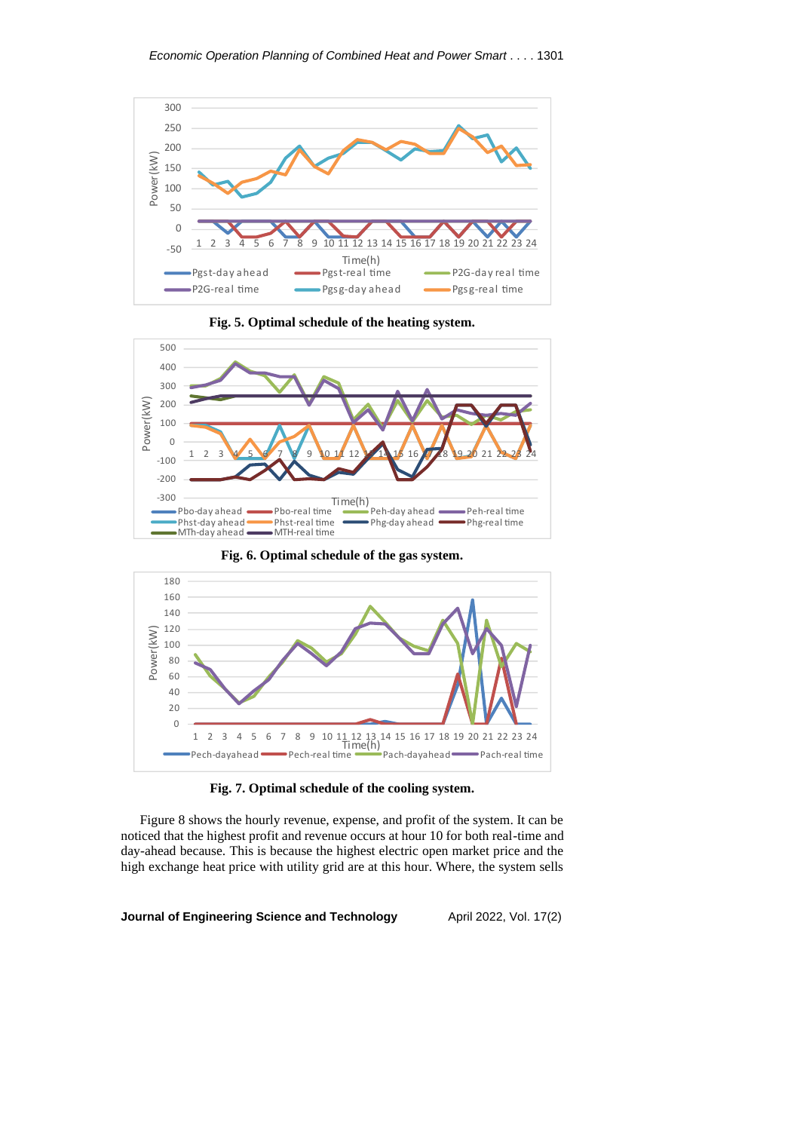

**Fig. 5. Optimal schedule of the heating system.**



**Fig. 6. Optimal schedule of the gas system.**





Figure 8 shows the hourly revenue, expense, and profit of the system. It can be noticed that the highest profit and revenue occurs at hour 10 for both real-time and day-ahead because. This is because the highest electric open market price and the high exchange heat price with utility grid are at this hour. Where, the system sells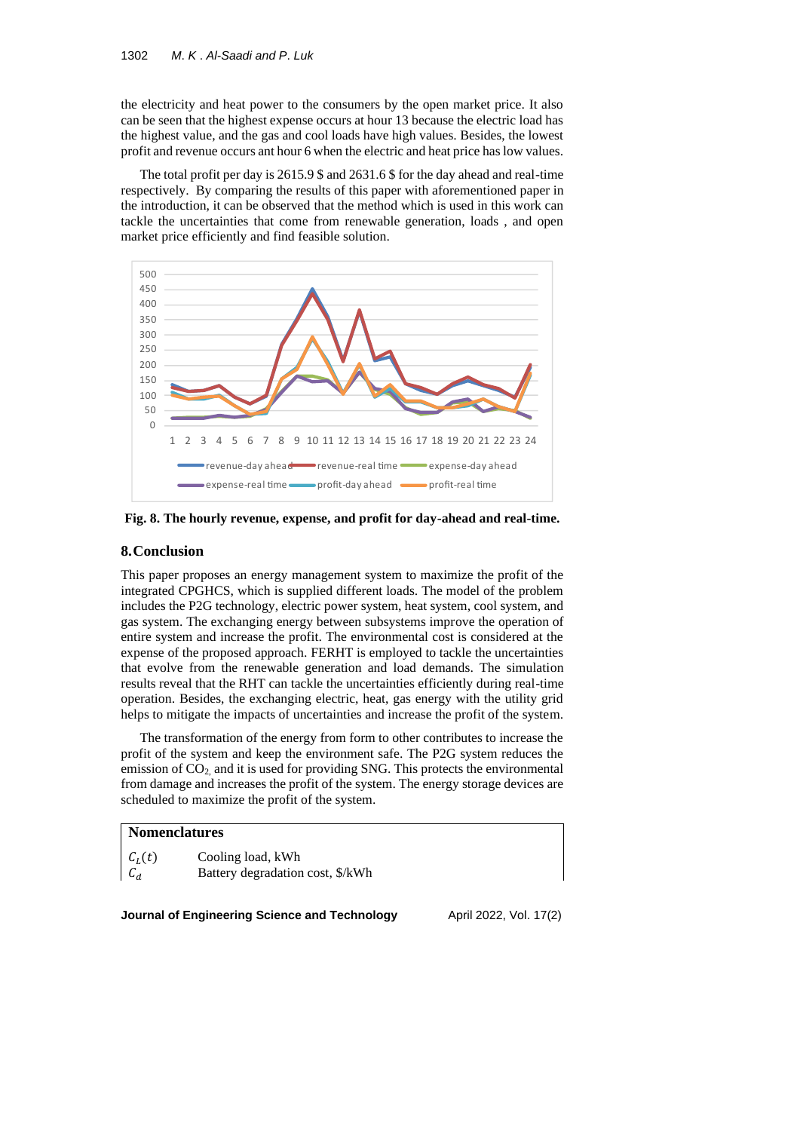the electricity and heat power to the consumers by the open market price. It also can be seen that the highest expense occurs at hour 13 because the electric load has the highest value, and the gas and cool loads have high values. Besides, the lowest profit and revenue occurs ant hour 6 when the electric and heat price has low values.

The total profit per day is 2615.9 \$ and 2631.6 \$ for the day ahead and real-time respectively. By comparing the results of this paper with aforementioned paper in the introduction, it can be observed that the method which is used in this work can tackle the uncertainties that come from renewable generation, loads , and open market price efficiently and find feasible solution.



**Fig. 8. The hourly revenue, expense, and profit for day-ahead and real-time.**

# **8.Conclusion**

This paper proposes an energy management system to maximize the profit of the integrated CPGHCS, which is supplied different loads. The model of the problem includes the P2G technology, electric power system, heat system, cool system, and gas system. The exchanging energy between subsystems improve the operation of entire system and increase the profit. The environmental cost is considered at the expense of the proposed approach. FERHT is employed to tackle the uncertainties that evolve from the renewable generation and load demands. The simulation results reveal that the RHT can tackle the uncertainties efficiently during real-time operation. Besides, the exchanging electric, heat, gas energy with the utility grid helps to mitigate the impacts of uncertainties and increase the profit of the system.

The transformation of the energy from form to other contributes to increase the profit of the system and keep the environment safe. The P2G system reduces the emission of CO2, and it is used for providing SNG. This protects the environmental from damage and increases the profit of the system. The energy storage devices are scheduled to maximize the profit of the system.

#### **Nomenclatures**

 $C_L(t)$  Cooling load, kWh<br>C<sub>d</sub> Battery degradation Battery degradation cost, \$/kWh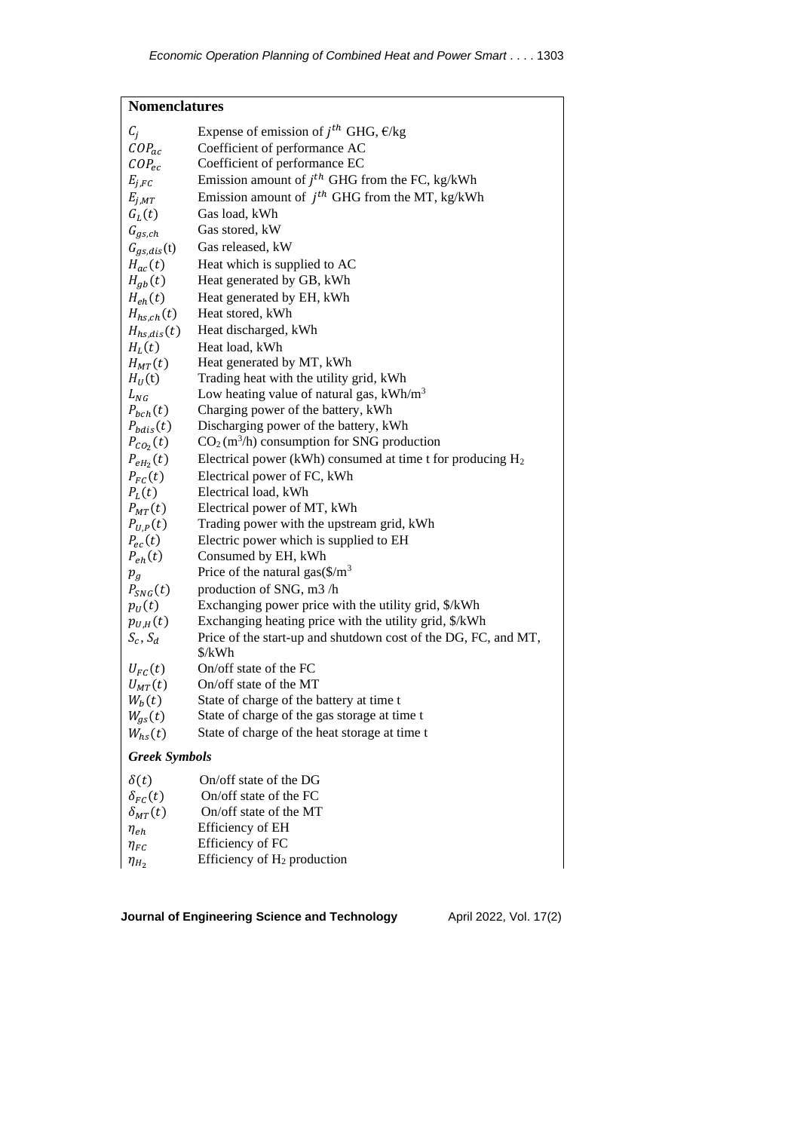| <b>Nomenclatures</b>       |                                                                |  |
|----------------------------|----------------------------------------------------------------|--|
| $\mathcal{C}_j$            | Expense of emission of $j^{th}$ GHG, $\epsilon$ /kg            |  |
| $COP_{ac}$                 | Coefficient of performance AC                                  |  |
| $COP_{ec}$                 | Coefficient of performance EC                                  |  |
| $E_{j,FC}$                 | Emission amount of $jth$ GHG from the FC, kg/kWh               |  |
| $E_{j,MT}$                 | Emission amount of $j^{th}$ GHG from the MT, kg/kWh            |  |
| $G_L(t)$                   | Gas load, kWh                                                  |  |
| $G_{gs,ch}$                | Gas stored, kW                                                 |  |
| $G_{gs,dis}$ (t)           | Gas released, kW                                               |  |
| $H_{ac}(t)$                | Heat which is supplied to AC                                   |  |
| $H_{gb}(t)$                | Heat generated by GB, kWh                                      |  |
| $H_{eh}(t)$                | Heat generated by EH, kWh                                      |  |
| $H_{hs,ch}(t)$             | Heat stored, kWh                                               |  |
| $H_{hs,dis}(t)$            | Heat discharged, kWh                                           |  |
| $H_L(t)$                   | Heat load, kWh                                                 |  |
| $H_{MT}(t)$                | Heat generated by MT, kWh                                      |  |
| $H_U(t)$                   | Trading heat with the utility grid, kWh                        |  |
| $L_{NG}$                   | Low heating value of natural gas, $kWh/m3$                     |  |
| $P_{bch}(t)$               | Charging power of the battery, kWh                             |  |
| $P_{bdis}(t)$              | Discharging power of the battery, kWh                          |  |
| $P_{CO_2}(t)$              | $CO2$ (m <sup>3</sup> /h) consumption for SNG production       |  |
| $P_{eH_2}(t)$              | Electrical power (kWh) consumed at time t for producing $H_2$  |  |
| $P_{FC}(t)$                | Electrical power of FC, kWh                                    |  |
| $P_{L}(t)$                 | Electrical load, kWh                                           |  |
| $P_{MT}(t)$                | Electrical power of MT, kWh                                    |  |
| $P_{U,P}(t)$               | Trading power with the upstream grid, kWh                      |  |
| $P_{ec}(t)$<br>$P_{eh}(t)$ | Electric power which is supplied to EH<br>Consumed by EH, kWh  |  |
|                            | Price of the natural gas $(\frac{5}{m^3})$                     |  |
| $p_g$<br>$P_{SNG}(t)$      | production of SNG, m3 /h                                       |  |
| $p_U(t)$                   | Exchanging power price with the utility grid, \$/kWh           |  |
| $p_{U,H}(t)$               | Exchanging heating price with the utility grid, \$/kWh         |  |
| $S_c, S_d$                 | Price of the start-up and shutdown cost of the DG, FC, and MT, |  |
|                            | \$/kWh                                                         |  |
| $U_{FC}(t)$                | On/off state of the FC                                         |  |
| $U_{MT}(t)$                | On/off state of the MT                                         |  |
| $W_b(t)$                   | State of charge of the battery at time t                       |  |
| $W_{gs}(t)$                | State of charge of the gas storage at time t                   |  |
| $W_{hs}(t)$                | State of charge of the heat storage at time t                  |  |
| <b>Greek Symbols</b>       |                                                                |  |
| $\delta(t)$                | $On/off$ state of the DG                                       |  |
| $\delta_{FC}(t)$           | On/off state of the FC                                         |  |
| $\delta_{MT}(t)$           | On/off state of the MT                                         |  |
| $\eta_{eh}$                | Efficiency of EH                                               |  |
| $\eta_{FC}$                | Efficiency of FC                                               |  |
| $\eta_{H_2}$               | Efficiency of $H_2$ production                                 |  |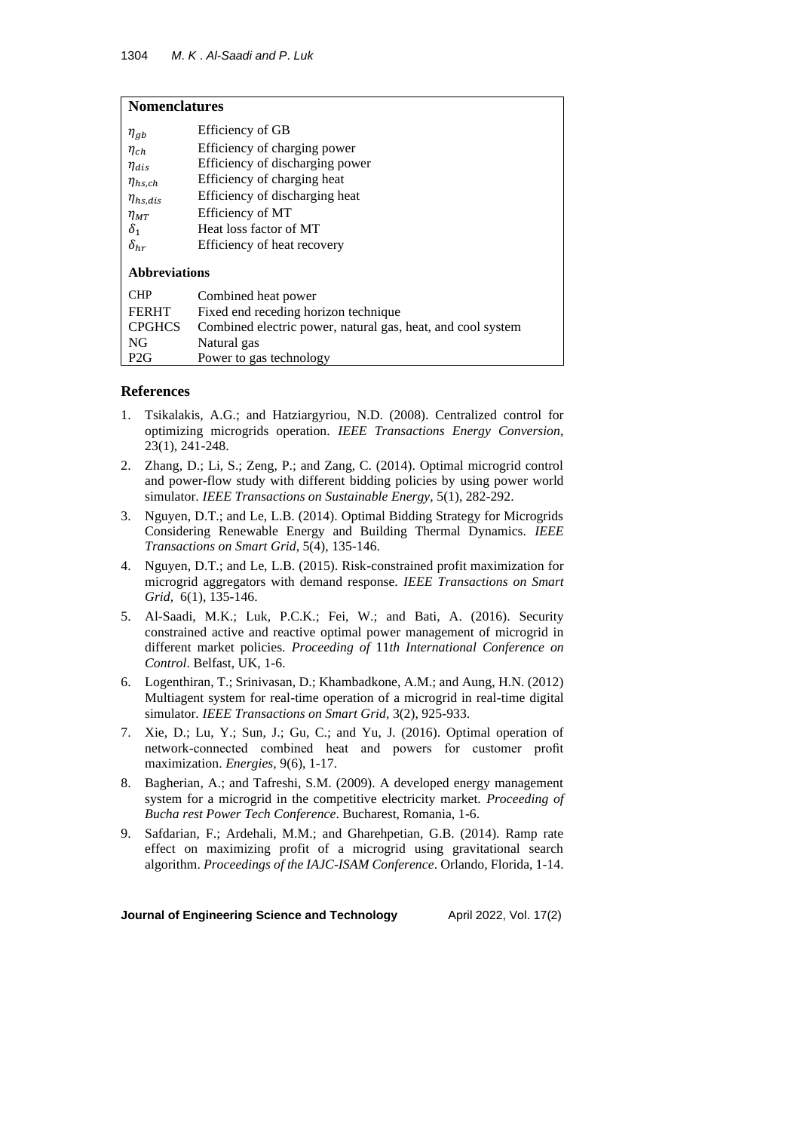| <b>Nomenclatures</b> |                                                             |  |
|----------------------|-------------------------------------------------------------|--|
| $\eta_{gb}$          | Efficiency of GB                                            |  |
| $\eta_{ch}$          | Efficiency of charging power                                |  |
| $\eta_{dis}$         | Efficiency of discharging power                             |  |
| $\eta_{hs,ch}$       | Efficiency of charging heat                                 |  |
| $\eta_{hs,dis}$      | Efficiency of discharging heat                              |  |
| $\eta_{MT}$          | Efficiency of MT                                            |  |
| $\delta_1$           | Heat loss factor of MT                                      |  |
| $\delta_{hr}$        | Efficiency of heat recovery                                 |  |
| <b>Abbreviations</b> |                                                             |  |
| <b>CHP</b>           | Combined heat power                                         |  |
| <b>FERHT</b>         | Fixed end receding horizon technique                        |  |
| <b>CPGHCS</b>        | Combined electric power, natural gas, heat, and cool system |  |
| NG                   | Natural gas                                                 |  |
| P2G                  | Power to gas technology                                     |  |

# **References**

- 1. Tsikalakis, A.G.; and Hatziargyriou, N.D. (2008). Centralized control for optimizing microgrids operation. *IEEE Transactions Energy Conversion*, 23(1), 241-248.
- 2. Zhang, D.; Li, S.; Zeng, P.; and Zang, C. (2014). Optimal microgrid control and power-flow study with different bidding policies by using power world simulator. *IEEE Transactions on Sustainable Energy*, 5(1), 282-292.
- 3. Nguyen, D.T.; and Le, L.B. (2014). Optimal Bidding Strategy for Microgrids Considering Renewable Energy and Building Thermal Dynamics. *IEEE Transactions on Smart Grid*, 5(4), 135-146.
- 4. Nguyen, D.T.; and Le, L.B. (2015). Risk-constrained profit maximization for microgrid aggregators with demand response. *IEEE Transactions on Smart Grid*, 6(1), 135-146.
- 5. [Al-Saadi, M.K.;](https://www.scopus.com/authid/detail.uri?authorId=57205533883) [Luk, P.C.K.;](https://www.scopus.com/authid/detail.uri?authorId=7003924134) [Fei, W.;](https://www.scopus.com/authid/detail.uri?authorId=24921316800) and [Bati, A.](https://www.scopus.com/authid/detail.uri?authorId=36455640900) (2016). Security constrained active and reactive optimal power management of microgrid in different market policies. *Proceeding of* 11*th International Conference on Control*. Belfast, UK, 1-6.
- 6. Logenthiran, T.; Srinivasan, D.; Khambadkone, A.M.; and Aung, H.N. (2012) Multiagent system for real-time operation of a microgrid in real-time digital simulator. *IEEE Transactions on Smart Grid*, 3(2), 925-933.
- 7. Xie, D.; Lu, Y.; Sun, J.; Gu, C.; and Yu, J. (2016). Optimal operation of network-connected combined heat and powers for customer profit maximization. *Energies*, 9(6), 1-17.
- 8. Bagherian, A.; and Tafreshi, S.M. (2009). A developed energy management system for a microgrid in the competitive electricity market. *Proceeding of Bucha rest Power Tech Conference*. Bucharest, Romania, 1-6.
- 9. Safdarian, F.; Ardehali, M.M.; and Gharehpetian, G.B. (2014). Ramp rate effect on maximizing profit of a microgrid using gravitational search algorithm. *Proceedings of the IAJC-ISAM Conference*. Orlando, Florida, 1-14.